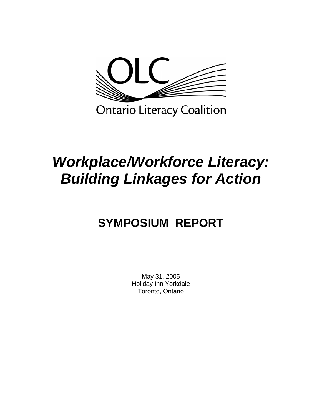

# *Workplace/Workforce Literacy: Building Linkages for Action*

## **SYMPOSIUM REPORT**

May 31, 2005 Holiday Inn Yorkdale Toronto, Ontario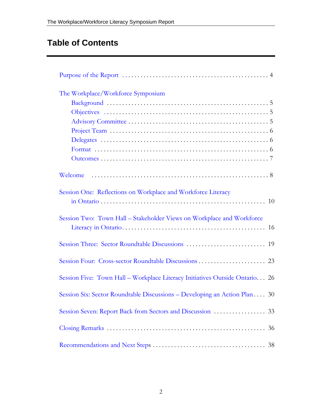## **Table of Contents**

| The Workplace/Workforce Symposium                                           |                                                                                                                    |  |  |  |
|-----------------------------------------------------------------------------|--------------------------------------------------------------------------------------------------------------------|--|--|--|
|                                                                             |                                                                                                                    |  |  |  |
|                                                                             | Objectives $\dots \dots \dots \dots \dots \dots \dots \dots \dots \dots \dots \dots \dots \dots \dots \dots \dots$ |  |  |  |
|                                                                             |                                                                                                                    |  |  |  |
|                                                                             |                                                                                                                    |  |  |  |
|                                                                             |                                                                                                                    |  |  |  |
|                                                                             |                                                                                                                    |  |  |  |
|                                                                             |                                                                                                                    |  |  |  |
|                                                                             |                                                                                                                    |  |  |  |
| Session One: Reflections on Workplace and Workforce Literacy                |                                                                                                                    |  |  |  |
|                                                                             |                                                                                                                    |  |  |  |
| Session Two: Town Hall – Stakeholder Views on Workplace and Workforce       |                                                                                                                    |  |  |  |
|                                                                             |                                                                                                                    |  |  |  |
|                                                                             |                                                                                                                    |  |  |  |
|                                                                             |                                                                                                                    |  |  |  |
| Session Five: Town Hall - Workplace Literacy Initiatives Outside Ontario 26 |                                                                                                                    |  |  |  |
| Session Six: Sector Roundtable Discussions – Developing an Action Plan 30   |                                                                                                                    |  |  |  |
|                                                                             |                                                                                                                    |  |  |  |
|                                                                             |                                                                                                                    |  |  |  |
|                                                                             |                                                                                                                    |  |  |  |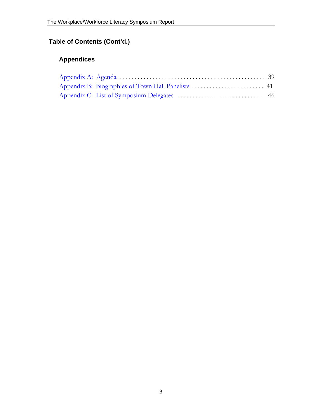### **Table of Contents (Cont'd.)**

### **Appendices**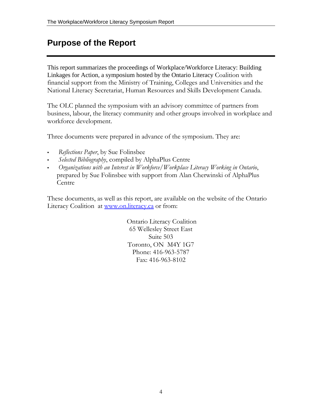### <span id="page-3-0"></span>**Purpose of the Report**

This report summarizes the proceedings of Workplace/Workforce Literacy: Building Linkages for Action, a symposium hosted by the Ontario Literacy Coalition with financial support from the Ministry of Training, Colleges and Universities and the National Literacy Secretariat, Human Resources and Skills Development Canada.

The OLC planned the symposium with an advisory committee of partners from business, labour, the literacy community and other groups involved in workplace and workforce development.

Three documents were prepared in advance of the symposium. They are:

- *Reflections Paper*, by Sue Folinsbee
- *Selected Bibliography*, compiled by AlphaPlus Centre
- *Organizations with an Interest in Workforce/Workplace Literacy Working in Ontario*, prepared by Sue Folinsbee with support from Alan Cherwinski of AlphaPlus Centre

These documents, as well as this report, are available on the website of the Ontario Literacy Coalition at [www.on.literacy.ca](http://www.on.literacy.ca/) or from:

> Ontario Literacy Coalition 65 Wellesley Street East Suite 503 Toronto, ON M4Y 1G7 Phone: 416-963-5787 Fax: 416-963-8102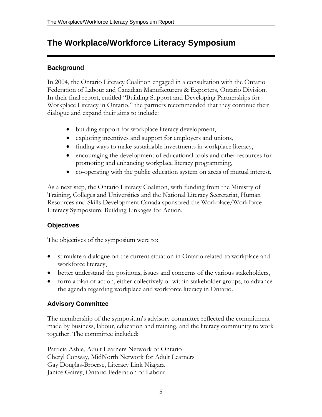### <span id="page-4-0"></span>**The Workplace/Workforce Literacy Symposium**

### **Background**

In 2004, the Ontario Literacy Coalition engaged in a consultation with the Ontario Federation of Labour and Canadian Manufacturers & Exporters, Ontario Division. In their final report, entitled "Building Support and Developing Partnerships for Workplace Literacy in Ontario," the partners recommended that they continue their dialogue and expand their aims to include:

- building support for workplace literacy development,
- exploring incentives and support for employers and unions,
- finding ways to make sustainable investments in workplace literacy,
- encouraging the development of educational tools and other resources for promoting and enhancing workplace literacy programming,
- co-operating with the public education system on areas of mutual interest.

As a next step, the Ontario Literacy Coalition, with funding from the Ministry of Training, Colleges and Universities and the National Literacy Secretariat, Human Resources and Skills Development Canada sponsored the Workplace/Workforce Literacy Symposium: Building Linkages for Action.

### **Objectives**

The objectives of the symposium were to:

- stimulate a dialogue on the current situation in Ontario related to workplace and workforce literacy,
- better understand the positions, issues and concerns of the various stakeholders,
- form a plan of action, either collectively or within stakeholder groups, to advance the agenda regarding workplace and workforce literacy in Ontario.

### **Advisory Committee**

The membership of the symposium's advisory committee reflected the commitment made by business, labour, education and training, and the literacy community to work together. The committee included:

Patricia Ashie, Adult Learners Network of Ontario Cheryl Conway, MidNorth Network for Adult Learners Gay Douglas-Broerse, Literacy Link Niagara Janice Gairey, Ontario Federation of Labour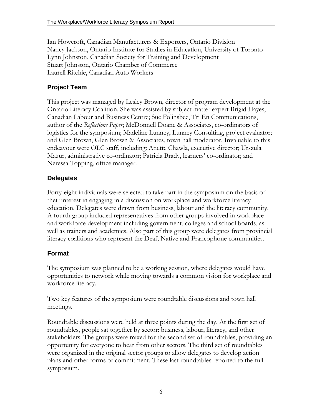<span id="page-5-0"></span>Ian Howcroft, Canadian Manufacturers & Exporters, Ontario Division Nancy Jackson, Ontario Institute for Studies in Education, University of Toronto Lynn Johnston, Canadian Society for Training and Development Stuart Johnston, Ontario Chamber of Commerce Laurell Ritchie, Canadian Auto Workers

### **Project Team**

This project was managed by Lesley Brown, director of program development at the Ontario Literacy Coalition. She was assisted by subject matter expert Brigid Hayes, Canadian Labour and Business Centre; Sue Folinsbee, Tri En Communications, author of the *Reflections Paper*; McDonnell Doane & Associates, co-ordinators of logistics for the symposium; Madeline Lunney, Lunney Consulting, project evaluator; and Glen Brown, Glen Brown & Associates, town hall moderator. Invaluable to this endeavour were OLC staff, including: Anette Chawla, executive director; Urszula Mazur, administrative co-ordinator; Patricia Brady, learners' co-ordinator; and Neressa Topping, office manager.

### **Delegates**

Forty-eight individuals were selected to take part in the symposium on the basis of their interest in engaging in a discussion on workplace and workforce literacy education. Delegates were drawn from business, labour and the literacy community. A fourth group included representatives from other groups involved in workplace and workforce development including government, colleges and school boards, as well as trainers and academics. Also part of this group were delegates from provincial literacy coalitions who represent the Deaf, Native and Francophone communities.

### **Format**

The symposium was planned to be a working session, where delegates would have opportunities to network while moving towards a common vision for workplace and workforce literacy.

Two key features of the symposium were roundtable discussions and town hall meetings.

Roundtable discussions were held at three points during the day. At the first set of roundtables, people sat together by sector: business, labour, literacy, and other stakeholders. The groups were mixed for the second set of roundtables, providing an opportunity for everyone to hear from other sectors. The third set of roundtables were organized in the original sector groups to allow delegates to develop action plans and other forms of commitment. These last roundtables reported to the full symposium.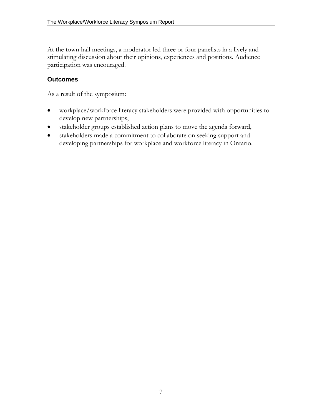<span id="page-6-0"></span>At the town hall meetings, a moderator led three or four panelists in a lively and stimulating discussion about their opinions, experiences and positions. Audience participation was encouraged.

### **Outcomes**

As a result of the symposium:

- workplace/workforce literacy stakeholders were provided with opportunities to develop new partnerships,
- stakeholder groups established action plans to move the agenda forward,
- stakeholders made a commitment to collaborate on seeking support and developing partnerships for workplace and workforce literacy in Ontario.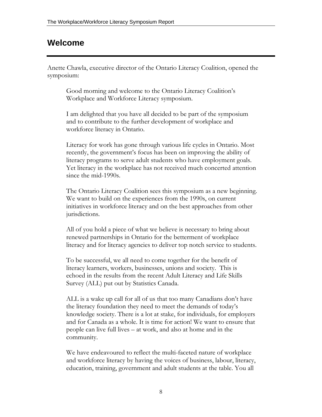### <span id="page-7-0"></span>**Welcome**

Anette Chawla, executive director of the Ontario Literacy Coalition, opened the symposium:

Good morning and welcome to the Ontario Literacy Coalition's Workplace and Workforce Literacy symposium.

I am delighted that you have all decided to be part of the symposium and to contribute to the further development of workplace and workforce literacy in Ontario.

Literacy for work has gone through various life cycles in Ontario. Most recently, the government's focus has been on improving the ability of literacy programs to serve adult students who have employment goals. Yet literacy in the workplace has not received much concerted attention since the mid-1990s.

The Ontario Literacy Coalition sees this symposium as a new beginning. We want to build on the experiences from the 1990s, on current initiatives in workforce literacy and on the best approaches from other jurisdictions.

All of you hold a piece of what we believe is necessary to bring about renewed partnerships in Ontario for the betterment of workplace literacy and for literacy agencies to deliver top notch service to students.

To be successful, we all need to come together for the benefit of literacy learners, workers, businesses, unions and society. This is echoed in the results from the recent Adult Literacy and Life Skills Survey (ALL) put out by Statistics Canada.

ALL is a wake up call for all of us that too many Canadians don't have the literacy foundation they need to meet the demands of today's knowledge society. There is a lot at stake, for individuals, for employers and for Canada as a whole. It is time for action! We want to ensure that people can live full lives – at work, and also at home and in the community.

We have endeavoured to reflect the multi-faceted nature of workplace and workforce literacy by having the voices of business, labour, literacy, education, training, government and adult students at the table. You all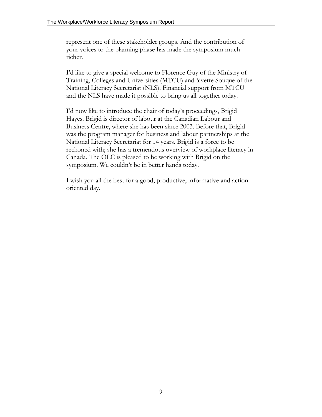represent one of these stakeholder groups. And the contribution of your voices to the planning phase has made the symposium much richer.

I'd like to give a special welcome to Florence Guy of the Ministry of Training, Colleges and Universities (MTCU) and Yvette Souque of the National Literacy Secretariat (NLS). Financial support from MTCU and the NLS have made it possible to bring us all together today.

I'd now like to introduce the chair of today's proceedings, Brigid Hayes. Brigid is director of labour at the Canadian Labour and Business Centre, where she has been since 2003. Before that, Brigid was the program manager for business and labour partnerships at the National Literacy Secretariat for 14 years. Brigid is a force to be reckoned with; she has a tremendous overview of workplace literacy in Canada. The OLC is pleased to be working with Brigid on the symposium. We couldn't be in better hands today.

I wish you all the best for a good, productive, informative and actionoriented day.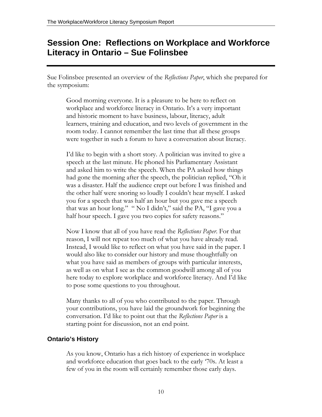### <span id="page-9-0"></span>**Session One: Reflections on Workplace and Workforce Literacy in Ontario – Sue Folinsbee**

Sue Folinsbee presented an overview of the *Reflections Paper*, which she prepared for the symposium:

Good morning everyone. It is a pleasure to be here to reflect on workplace and workforce literacy in Ontario. It's a very important and historic moment to have business, labour, literacy, adult learners, training and education, and two levels of government in the room today. I cannot remember the last time that all these groups were together in such a forum to have a conversation about literacy.

I'd like to begin with a short story. A politician was invited to give a speech at the last minute. He phoned his Parliamentary Assistant and asked him to write the speech. When the PA asked how things had gone the morning after the speech, the politician replied, "Oh it was a disaster. Half the audience crept out before I was finished and the other half were snoring so loudly I couldn't hear myself. I asked you for a speech that was half an hour but you gave me a speech that was an hour long." " No I didn't," said the PA, "I gave you a half hour speech. I gave you two copies for safety reasons."

Now I know that all of you have read the *Reflections Paper*. For that reason, I will not repeat too much of what you have already read. Instead, I would like to reflect on what you have said in the paper. I would also like to consider our history and muse thoughtfully on what you have said as members of groups with particular interests, as well as on what I see as the common goodwill among all of you here today to explore workplace and workforce literacy. And I'd like to pose some questions to you throughout.

Many thanks to all of you who contributed to the paper. Through your contributions, you have laid the groundwork for beginning the conversation. I'd like to point out that the *Reflections Paper* is a starting point for discussion, not an end point.

### **Ontario's History**

As you know, Ontario has a rich history of experience in workplace and workforce education that goes back to the early '70s. At least a few of you in the room will certainly remember those early days.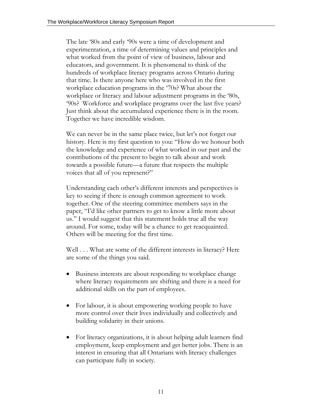The late '80s and early '90s were a time of development and experimentation, a time of determining values and principles and what worked from the point of view of business, labour and educators, and government. It is phenomenal to think of the hundreds of workplace literacy programs across Ontario during that time. Is there anyone here who was involved in the first workplace education programs in the '70s? What about the workplace or literacy and labour adjustment programs in the '80s, '90s? Workforce and workplace programs over the last five years? Just think about the accumulated experience there is in the room. Together we have incredible wisdom.

We can never be in the same place twice, but let's not forget our history. Here is my first question to you: "How do we honour both the knowledge and experience of what worked in our past and the contributions of the present to begin to talk about and work towards a possible future—a future that respects the multiple voices that all of you represent?"

Understanding each other's different interests and perspectives is key to seeing if there is enough common agreement to work together. One of the steering committee members says in the paper, "I'd like other partners to get to know a little more about us." I would suggest that this statement holds true all the way around. For some, today will be a chance to get reacquainted. Others will be meeting for the first time.

Well . . . What are some of the different interests in literacy? Here are some of the things you said.

- Business interests are about responding to workplace change where literacy requirements are shifting and there is a need for additional skills on the part of employees.
- For labour, it is about empowering working people to have more control over their lives individually and collectively and building solidarity in their unions.
- For literacy organizations, it is about helping adult learners find employment, keep employment and get better jobs. There is an interest in ensuring that all Ontarians with literacy challenges can participate fully in society.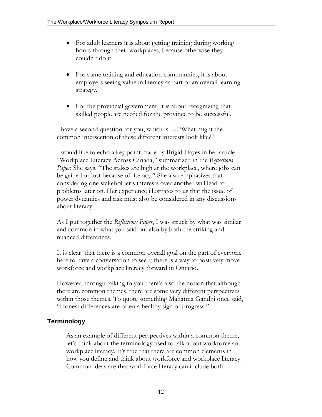- For adult learners it is about getting training during working hours through their workplaces, because otherwise they couldn't do it.
- For some training and education communities, it is about employers seeing value in literacy as part of an overall learning strategy.
- For the provincial government, it is about recognizing that skilled people are needed for the province to be successful.

I have a second question for you, which is …."What might the common intersection of these different interests look like?"

I would like to echo a key point made by Brigid Hayes in her article "Workplace Literacy Across Canada," summarized in the *Reflections Paper*. She says, "The stakes are high at the workplace, where jobs can be gained or lost because of literacy." She also emphasizes that considering one stakeholder's interests over another will lead to problems later on. Her experience illustrates to us that the issue of power dynamics and risk must also be considered in any discussions about literacy.

As I put together the *Reflections Paper*, I was struck by what was similar and common in what you said but also by both the striking and nuanced differences.

It is clear that there is a common overall goal on the part of everyone here to have a conversation to see if there is a way to positively move workforce and workplace literacy forward in Ontario.

However, through talking to you there's also the notion that although there are common themes, there are some very different perspectives within those themes. To quote something Mahatma Gandhi once said, "Honest differences are often a healthy sign of progress."

### **Terminology**

As an example of different perspectives within a common theme, let's think about the terminology used to talk about workforce and workplace literacy. It's true that there are common elements in how you define and think about workforce and workplace literacy. Common ideas are that workforce literacy can include both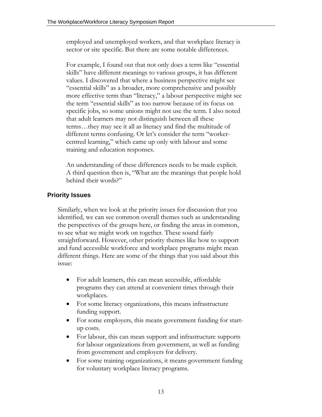employed and unemployed workers, and that workplace literacy is sector or site specific. But there are some notable differences.

For example, I found out that not only does a term like "essential skills" have different meanings to various groups, it has different values. I discovered that where a business perspective might see "essential skills" as a broader, more comprehensive and possibly more effective term than "literacy," a labour perspective might see the term "essential skills" as too narrow because of its focus on specific jobs, so some unions might not use the term. I also noted that adult learners may not distinguish between all these terms…they may see it all as literacy and find the multitude of different terms confusing. Or let's consider the term "workercentred learning," which came up only with labour and some training and education responses.

An understanding of these differences needs to be made explicit. A third question then is, "What are the meanings that people hold behind their words?"

### **Priority Issues**

Similarly, when we look at the priority issues for discussion that you identified, we can see common overall themes such as understanding the perspectives of the groups here, or finding the areas in common, to see what we might work on together. These sound fairly straightforward. However, other priority themes like how to support and fund accessible workforce and workplace programs might mean different things. Here are some of the things that you said about this issue:

- For adult learners, this can mean accessible, affordable programs they can attend at convenient times through their workplaces.
- For some literacy organizations, this means infrastructure funding support.
- For some employers, this means government funding for startup costs.
- For labour, this can mean support and infrastructure supports for labour organizations from government, as well as funding from government and employers for delivery.
- For some training organizations, it means government funding for voluntary workplace literacy programs.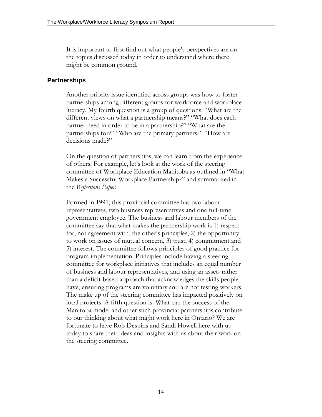It is important to first find out what people's perspectives are on the topics discussed today in order to understand where there might be common ground.

#### **Partnerships**

Another priority issue identified across groups was how to foster partnerships among different groups for workforce and workplace literacy. My fourth question is a group of questions. "What are the different views on what a partnership means?" "What does each partner need in order to be in a partnership?" "What are the partnerships for?" "Who are the primary partners?" "How are decisions made?"

On the question of partnerships, we can learn from the experience of others. For example, let's look at the work of the steering committee of Workplace Education Manitoba as outlined in "What Makes a Successful Workplace Partnership?" and summarized in the *Reflections Paper*.

Formed in 1991, this provincial committee has two labour representatives, two business representatives and one full-time government employee. The business and labour members of the committee say that what makes the partnership work is 1) respect for, not agreement with, the other's principles, 2) the opportunity to work on issues of mutual concern, 3) trust, 4) commitment and 5) interest. The committee follows principles of good practice for program implementation. Principles include having a steering committee for workplace initiatives that includes an equal number of business and labour representatives, and using an asset- rather than a deficit-based approach that acknowledges the skills people have, ensuring programs are voluntary and are not testing workers. The make up of the steering committee has impacted positively on local projects. A fifth question is: What can the success of the Manitoba model and other such provincial partnerships contribute to our thinking about what might work here in Ontario? We are fortunate to have Rob Despins and Sandi Howell here with us today to share their ideas and insights with us about their work on the steering committee.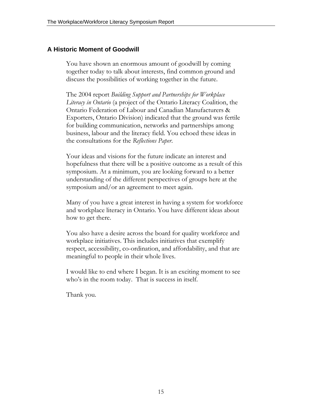### **A Historic Moment of Goodwill**

You have shown an enormous amount of goodwill by coming together today to talk about interests, find common ground and discuss the possibilities of working together in the future.

The 2004 report *Building Support and Partnerships for Workplace Literacy in Ontario* (a project of the Ontario Literacy Coalition, the Ontario Federation of Labour and Canadian Manufacturers & Exporters, Ontario Division) indicated that the ground was fertile for building communication, networks and partnerships among business, labour and the literacy field. You echoed these ideas in the consultations for the *Reflections Paper*.

Your ideas and visions for the future indicate an interest and hopefulness that there will be a positive outcome as a result of this symposium. At a minimum, you are looking forward to a better understanding of the different perspectives of groups here at the symposium and/or an agreement to meet again.

Many of you have a great interest in having a system for workforce and workplace literacy in Ontario. You have different ideas about how to get there.

You also have a desire across the board for quality workforce and workplace initiatives. This includes initiatives that exemplify respect, accessibility, co-ordination, and affordability, and that are meaningful to people in their whole lives.

I would like to end where I began. It is an exciting moment to see who's in the room today. That is success in itself.

Thank you.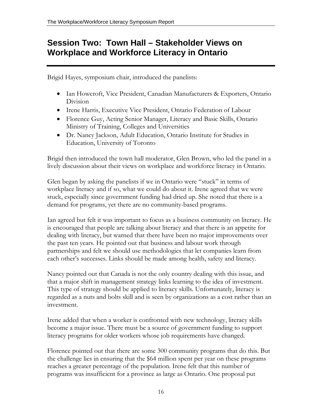### <span id="page-15-0"></span>**Session Two: Town Hall – Stakeholder Views on Workplace and Workforce Literacy in Ontario**

Brigid Hayes, symposium chair, introduced the panelists:

- Ian Howcroft, Vice President, Canadian Manufacturers & Exporters, Ontario Division
- Irene Harris, Executive Vice President, Ontario Federation of Labour
- Florence Guy, Acting Senior Manager, Literacy and Basic Skills, Ontario Ministry of Training, Colleges and Universities
- Dr. Nancy Jackson, Adult Education, Ontario Institute for Studies in Education, University of Toronto

Brigid then introduced the town hall moderator, Glen Brown, who led the panel in a lively discussion about their views on workplace and workforce literacy in Ontario.

Glen began by asking the panelists if we in Ontario were "stuck" in terms of workplace literacy and if so, what we could do about it. Irene agreed that we were stuck, especially since government funding had dried up. She noted that there is a demand for programs, yet there are no community-based programs.

Ian agreed but felt it was important to focus as a business community on literacy. He is encouraged that people are talking about literacy and that there is an appetite for dealing with literacy, but warned that there have been no major improvements over the past ten years. He pointed out that business and labour work through partnerships and felt we should use methodologies that let companies learn from each other's successes. Links should be made among health, safety and literacy.

Nancy pointed out that Canada is not the only country dealing with this issue, and that a major shift in management strategy links learning to the idea of investment. This type of strategy should be applied to literacy skills. Unfortunately, literacy is regarded as a nuts and bolts skill and is seen by organizations as a cost rather than an investment.

Irene added that when a worker is confronted with new technology, literacy skills become a major issue. There must be a source of government funding to support literacy programs for older workers whose job requirements have changed.

Florence pointed out that there are some 300 community programs that do this. But the challenge lies in ensuring that the \$64 million spent per year on these programs reaches a greater percentage of the population. Irene felt that this number of programs was insufficient for a province as large as Ontario. One proposal put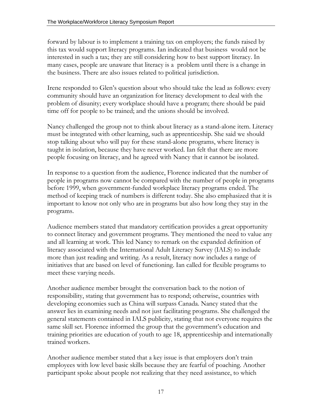forward by labour is to implement a training tax on employers; the funds raised by this tax would support literacy programs. Ian indicated that business would not be interested in such a tax; they are still considering how to best support literacy. In many cases, people are unaware that literacy is a problem until there is a change in the business. There are also issues related to political jurisdiction.

Irene responded to Glen's question about who should take the lead as follows: every community should have an organization for literacy development to deal with the problem of disunity; every workplace should have a program; there should be paid time off for people to be trained; and the unions should be involved.

Nancy challenged the group not to think about literacy as a stand-alone item. Literacy must be integrated with other learning, such as apprenticeship. She said we should stop talking about who will pay for these stand-alone programs, where literacy is taught in isolation, because they have never worked. Ian felt that there are more people focusing on literacy, and he agreed with Nancy that it cannot be isolated.

In response to a question from the audience, Florence indicated that the number of people in programs now cannot be compared with the number of people in programs before 1999, when government-funded workplace literacy programs ended. The method of keeping track of numbers is different today. She also emphasized that it is important to know not only who are in programs but also how long they stay in the programs.

Audience members stated that mandatory certification provides a great opportunity to connect literacy and government programs. They mentioned the need to value any and all learning at work. This led Nancy to remark on the expanded definition of literacy associated with the International Adult Literacy Survey (IALS) to include more than just reading and writing. As a result, literacy now includes a range of initiatives that are based on level of functioning. Ian called for flexible programs to meet these varying needs.

Another audience member brought the conversation back to the notion of responsibility, stating that government has to respond; otherwise, countries with developing economies such as China will surpass Canada. Nancy stated that the answer lies in examining needs and not just facilitating programs. She challenged the general statements contained in IALS publicity, stating that not everyone requires the same skill set. Florence informed the group that the government's education and training priorities are education of youth to age 18, apprenticeship and internationally trained workers.

Another audience member stated that a key issue is that employers don't train employees with low level basic skills because they are fearful of poaching. Another participant spoke about people not realizing that they need assistance, to which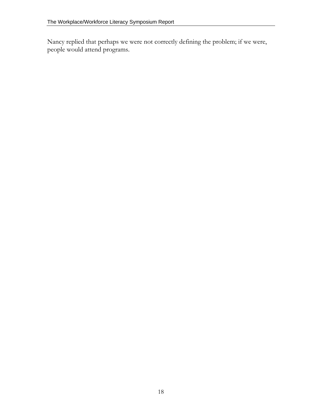Nancy replied that perhaps we were not correctly defining the problem; if we were, people would attend programs.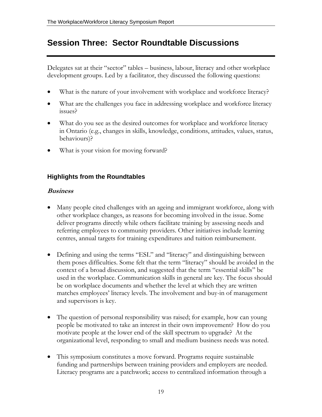### <span id="page-18-0"></span>**Session Three: Sector Roundtable Discussions**

Delegates sat at their "sector" tables – business, labour, literacy and other workplace development groups. Led by a facilitator, they discussed the following questions:

- What is the nature of your involvement with workplace and workforce literacy?
- What are the challenges you face in addressing workplace and workforce literacy issues?
- What do you see as the desired outcomes for workplace and workforce literacy in Ontario (e.g., changes in skills, knowledge, conditions, attitudes, values, status, behaviours)?
- What is your vision for moving forward?

### **Highlights from the Roundtables**

### **Business**

- Many people cited challenges with an ageing and immigrant workforce, along with other workplace changes, as reasons for becoming involved in the issue. Some deliver programs directly while others facilitate training by assessing needs and referring employees to community providers. Other initiatives include learning centres, annual targets for training expenditures and tuition reimbursement.
- Defining and using the terms "ESL" and "literacy" and distinguishing between them poses difficulties. Some felt that the term "literacy" should be avoided in the context of a broad discussion, and suggested that the term "essential skills" be used in the workplace. Communication skills in general are key. The focus should be on workplace documents and whether the level at which they are written matches employees' literacy levels. The involvement and buy-in of management and supervisors is key.
- The question of personal responsibility was raised; for example, how can young people be motivated to take an interest in their own improvement? How do you motivate people at the lower end of the skill spectrum to upgrade? At the organizational level, responding to small and medium business needs was noted.
- This symposium constitutes a move forward. Programs require sustainable funding and partnerships between training providers and employers are needed. Literacy programs are a patchwork; access to centralized information through a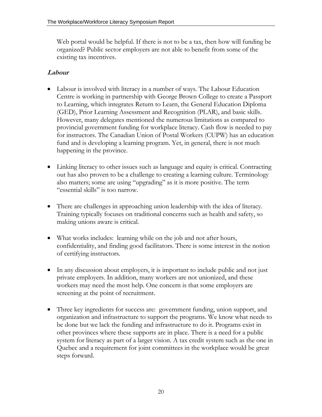Web portal would be helpful. If there is not to be a tax, then how will funding be organized? Public sector employers are not able to benefit from some of the existing tax incentives.

### **Labour**

- Labour is involved with literacy in a number of ways. The Labour Education Centre is working in partnership with George Brown College to create a Passport to Learning, which integrates Return to Learn, the General Education Diploma (GED), Prior Learning Assessment and Recognition (PLAR), and basic skills. However, many delegates mentioned the numerous limitations as compared to provincial government funding for workplace literacy. Cash flow is needed to pay for instructors. The Canadian Union of Postal Workers (CUPW) has an education fund and is developing a learning program. Yet, in general, there is not much happening in the province.
- Linking literacy to other issues such as language and equity is critical. Contracting out has also proven to be a challenge to creating a learning culture. Terminology also matters; some are using "upgrading" as it is more positive. The term "essential skills" is too narrow.
- There are challenges in approaching union leadership with the idea of literacy. Training typically focuses on traditional concerns such as health and safety, so making unions aware is critical.
- What works includes: learning while on the job and not after hours, confidentiality, and finding good facilitators. There is some interest in the notion of certifying instructors.
- In any discussion about employers, it is important to include public and not just private employers. In addition, many workers are not unionized, and these workers may need the most help. One concern is that some employers are screening at the point of recruitment.
- Three key ingredients for success are: government funding, union support, and organization and infrastructure to support the programs. We know what needs to be done but we lack the funding and infrastructure to do it. Programs exist in other provinces where these supports are in place. There is a need for a public system for literacy as part of a larger vision. A tax credit system such as the one in Quebec and a requirement for joint committees in the workplace would be great steps forward.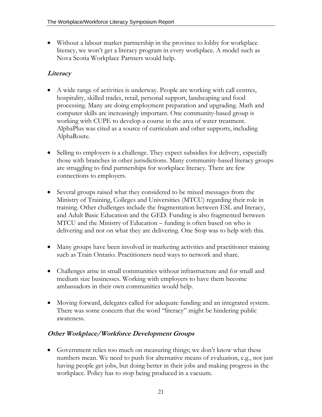• Without a labour market partnership in the province to lobby for workplace literacy, we won't get a literacy program in every workplace. A model such as Nova Scotia Workplace Partners would help.

### **Literacy**

- A wide range of activities is underway. People are working with call centres, hospitality, skilled trades, retail, personal support, landscaping and food processing. Many are doing employment preparation and upgrading. Math and computer skills are increasingly important. One community-based group is working with CUPE to develop a course in the area of water treatment. AlphaPlus was cited as a source of curriculum and other supports, including AlphaRoute.
- Selling to employers is a challenge. They expect subsidies for delivery, especially those with branches in other jurisdictions. Many community-based literacy groups are struggling to find partnerships for workplace literacy. There are few connections to employers.
- Several groups raised what they considered to be mixed messages from the Ministry of Training, Colleges and Universities (MTCU) regarding their role in training. Other challenges include the fragmentation between ESL and literacy, and Adult Basic Education and the GED. Funding is also fragmented between MTCU and the Ministry of Education – funding is often based on who is delivering and not on what they are delivering. One Stop was to help with this.
- Many groups have been involved in marketing activities and practitioner training such as Train Ontario. Practitioners need ways to network and share.
- Challenges arise in small communities without infrastructure and for small and medium size businesses. Working with employers to have them become ambassadors in their own communities would help.
- Moving forward, delegates called for adequate funding and an integrated system. There was some concern that the word "literacy" might be hindering public awareness.

### **Other Workplace/Workforce Development Groups**

• Government relies too much on measuring things; we don't know what these numbers mean. We need to push for alternative means of evaluation, e.g., not just having people get jobs, but doing better in their jobs and making progress in the workplace. Policy has to stop being produced in a vacuum.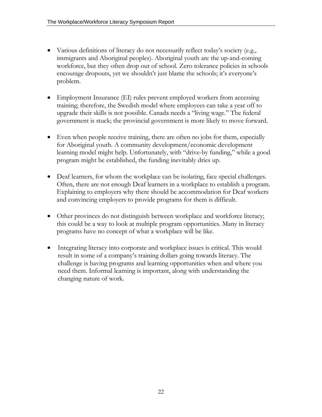- Various definitions of literacy do not necessarily reflect today's society (e.g., immigrants and Aboriginal peoples). Aboriginal youth are the up-and-coming workforce, but they often drop out of school. Zero tolerance policies in schools encourage dropouts, yet we shouldn't just blame the schools; it's everyone's problem.
- Employment Insurance (EI) rules prevent employed workers from accessing training; therefore, the Swedish model where employees can take a year off to upgrade their skills is not possible. Canada needs a "living wage." The federal government is stuck; the provincial government is more likely to move forward.
- Even when people receive training, there are often no jobs for them, especially for Aboriginal youth. A community development/economic development learning model might help. Unfortunately, with "drive-by funding," while a good program might be established, the funding inevitably dries up.
- Deaf learners, for whom the workplace can be isolating, face special challenges. Often, there are not enough Deaf learners in a workplace to establish a program. Explaining to employers why there should be accommodation for Deaf workers and convincing employers to provide programs for them is difficult.
- Other provinces do not distinguish between workplace and workforce literacy; this could be a way to look at multiple program opportunities. Many in literacy programs have no concept of what a workplace will be like.
- Integrating literacy into corporate and workplace issues is critical. This would result in some of a company's training dollars going towards literacy. The challenge is having programs and learning opportunities when and where you need them. Informal learning is important, along with understanding the changing nature of work.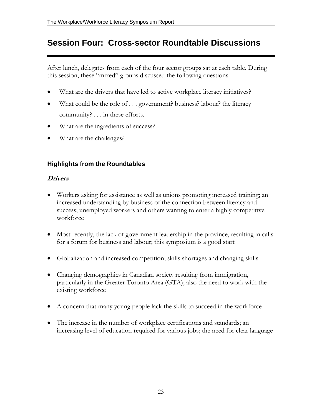### <span id="page-22-0"></span>**Session Four: Cross-sector Roundtable Discussions**

After lunch, delegates from each of the four sector groups sat at each table. During this session, these "mixed" groups discussed the following questions:

- What are the drivers that have led to active workplace literacy initiatives?
- What could be the role of . . . government? business? labour? the literacy community? . . . in these efforts.
- What are the ingredients of success?
- What are the challenges?

### **Highlights from the Roundtables**

### **Drivers**

- Workers asking for assistance as well as unions promoting increased training; an increased understanding by business of the connection between literacy and success; unemployed workers and others wanting to enter a highly competitive workforce
- Most recently, the lack of government leadership in the province, resulting in calls for a forum for business and labour; this symposium is a good start
- Globalization and increased competition; skills shortages and changing skills
- Changing demographics in Canadian society resulting from immigration, particularly in the Greater Toronto Area (GTA); also the need to work with the existing workforce
- A concern that many young people lack the skills to succeed in the workforce
- The increase in the number of workplace certifications and standards; an increasing level of education required for various jobs; the need for clear language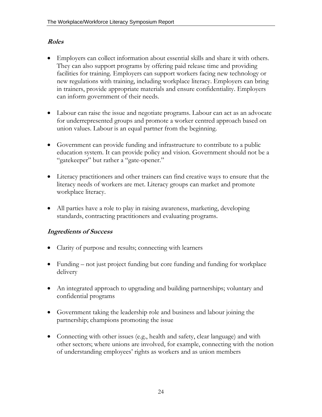### **Roles**

- Employers can collect information about essential skills and share it with others. They can also support programs by offering paid release time and providing facilities for training. Employers can support workers facing new technology or new regulations with training, including workplace literacy. Employers can bring in trainers, provide appropriate materials and ensure confidentiality. Employers can inform government of their needs.
- Labour can raise the issue and negotiate programs. Labour can act as an advocate for underrepresented groups and promote a worker centred approach based on union values. Labour is an equal partner from the beginning.
- Government can provide funding and infrastructure to contribute to a public education system. It can provide policy and vision. Government should not be a "gatekeeper" but rather a "gate-opener."
- Literacy practitioners and other trainers can find creative ways to ensure that the literacy needs of workers are met. Literacy groups can market and promote workplace literacy.
- All parties have a role to play in raising awareness, marketing, developing standards, contracting practitioners and evaluating programs.

### **Ingredients of Success**

- Clarity of purpose and results; connecting with learners
- Funding not just project funding but core funding and funding for workplace delivery
- An integrated approach to upgrading and building partnerships; voluntary and confidential programs
- Government taking the leadership role and business and labour joining the partnership; champions promoting the issue
- Connecting with other issues (e.g., health and safety, clear language) and with other sectors; where unions are involved, for example, connecting with the notion of understanding employees' rights as workers and as union members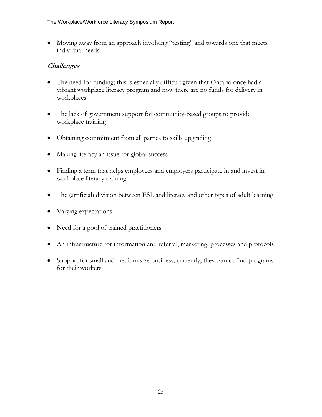• Moving away from an approach involving "testing" and towards one that meets individual needs

### **Challenges**

- The need for funding; this is especially difficult given that Ontario once had a vibrant workplace literacy program and now there are no funds for delivery in workplaces
- The lack of government support for community-based groups to provide workplace training
- Obtaining commitment from all parties to skills upgrading
- Making literacy an issue for global success
- Finding a term that helps employees and employers participate in and invest in workplace literacy training
- The (artificial) division between ESL and literacy and other types of adult learning
- Varying expectations
- Need for a pool of trained practitioners
- An infrastructure for information and referral, marketing, processes and protocols
- Support for small and medium size business; currently, they cannot find programs for their workers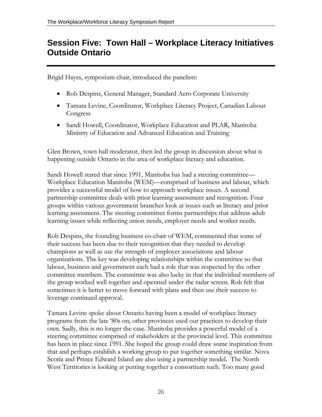### <span id="page-25-0"></span>**Session Five: Town Hall – Workplace Literacy Initiatives Outside Ontario**

Brigid Hayes, symposium chair, introduced the panelists:

- Rob Despins, General Manager, Standard Aero Corporate University
- Tamara Levine, Coordinator, Workplace Literacy Project, Canadian Labour Congress
- Sandi Howell, Coordinator, Workplace Education and PLAR, Manitoba Ministry of Education and Advanced Education and Training

Glen Brown, town hall moderator, then led the group in discussion about what is happening outside Ontario in the area of workplace literacy and education.

Sandi Howell stated that since 1991, Manitoba has had a steering committee— Workplace Education Manitoba (WEM)—comprised of business and labour, which provides a successful model of how to approach workplace issues. A second partnership committee deals with prior learning assessment and recognition. Four groups within various government branches look at issues such as literacy and prior learning assessment. The steering committee forms partnerships that address adult learning issues while reflecting union needs, employer needs and worker needs.

Rob Despins, the founding business co-chair of WEM, commented that some of their success has been due to their recognition that they needed to develop champions as well as use the strength of employer associations and labour organizations. The key was developing relationships within the committee so that labour, business and government each had a role that was respected by the other committee members. The committee was also lucky in that the individual members of the group worked well together and operated under the radar screen. Rob felt that sometimes it is better to move forward with plans and then use their success to leverage continued approval.

Tamara Levine spoke about Ontario having been a model of workplace literacy programs from the late '80s on; other provinces used our practices to develop their own. Sadly, this is no longer the case. Manitoba provides a powerful model of a steering committee comprised of stakeholders at the provincial level. This committee has been in place since 1991. She hoped the group could draw some inspiration from that and perhaps establish a working group to put together something similar. Nova Scotia and Prince Edward Island are also using a partnership model. The North West Territories is looking at putting together a consortium such. Too many good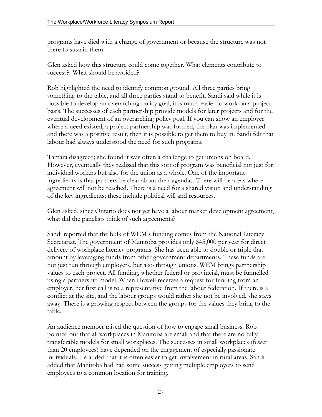programs have died with a change of government or because the structure was not there to sustain them.

Glen asked how this structure could come together. What elements contribute to success? What should be avoided?

Rob highlighted the need to identify common ground. All three parties bring something to the table, and all three parties stand to benefit. Sandi said while it is possible to develop an overarching policy goal, it is much easier to work on a project basis. The successes of each partnership provide models for later projects and for the eventual development of an overarching policy goal. If you can show an employer where a need existed, a project partnership was formed, the plan was implemented and there was a positive result, then it is possible to get them to buy in. Sandi felt that labour had always understood the need for such programs.

Tamara disagreed; she found it was often a challenge to get unions on board. However, eventually they realized that this sort of program was beneficial not just for individual workers but also for the union as a whole. One of the important ingredients is that partners be clear about their agendas. There will be areas where agreement will not be reached. There is a need for a shared vision and understanding of the key ingredients; these include political will and resources.

Glen asked, since Ontario does not yet have a labour market development agreement, what did the panelists think of such agreements?

Sandi reported that the bulk of WEM's funding comes from the National Literacy Secretariat. The government of Manitoba provides only \$45,000 per year for direct delivery of workplace literacy programs. She has been able to double or triple that amount by leveraging funds from other government departments. These funds are not just run through employers, but also through unions. WEM brings partnership values to each project. All funding, whether federal or provincial, must be funnelled using a partnership model. When Howell receives a request for funding from an employer, her first call is to a representative from the labour federation. If there is a conflict at the site, and the labour groups would rather she not be involved, she stays away. There is a growing respect between the groups for the values they bring to the table.

An audience member raised the question of how to engage small business. Rob pointed out that all workplaces in Manitoba are small and that there are no fully transferable models for small workplaces. The successes in small workplaces (fewer than 20 employees) have depended on the engagement of especially passionate individuals. He added that it is often easier to get involvement in rural areas. Sandi added that Manitoba had had some success getting multiple employers to send employees to a common location for training.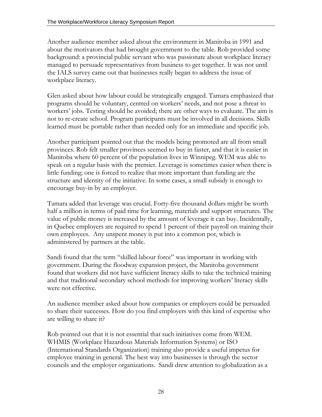Another audience member asked about the environment in Manitoba in 1991 and about the motivators that had brought government to the table. Rob provided some background: a provincial public servant who was passionate about workplace literacy managed to persuade representatives from business to get together. It was not until the IALS survey came out that businesses really began to address the issue of workplace literacy.

Glen asked about how labour could be strategically engaged. Tamara emphasized that programs should be voluntary, centred on workers' needs, and not pose a threat to workers' jobs. Testing should be avoided; there are other ways to evaluate. The aim is not to re-create school. Program participants must be involved in all decisions. Skills learned must be portable rather than needed only for an immediate and specific job.

Another participant pointed out that the models being promoted are all from small provinces. Rob felt smaller provinces seemed to buy in faster, and that it is easier in Manitoba where 60 percent of the population lives in Winnipeg. WEM was able to speak on a regular basis with the premier. Leverage is sometimes easier when there is little funding; one is forced to realize that more important than funding are the structure and identity of the initiative. In some cases, a small subsidy is enough to encourage buy-in by an employer.

Tamara added that leverage was crucial. Forty-five thousand dollars might be worth half a million in terms of paid time for learning, materials and support structures. The value of public money is increased by the amount of leverage it can buy. Incidentally, in Quebec employers are required to spend 1 percent of their payroll on training their own employees. Any unspent money is put into a common pot, which is administered by partners at the table.

Sandi found that the term "skilled labour force" was important in working with government. During the floodway expansion project, the Manitoba government found that workers did not have sufficient literacy skills to take the technical training and that traditional secondary school methods for improving workers' literacy skills were not effective.

An audience member asked about how companies or employers could be persuaded to share their successes. How do you find employers with this kind of expertise who are willing to share it?

Rob pointed out that it is not essential that such initiatives come from WEM. WHMIS (Workplace Hazardous Materials Information Systems) or ISO (International Standards Organization) training also provide a useful impetus for employee training in general. The best way into businesses is through the sector councils and the employer organizations. Sandi drew attention to globalization as a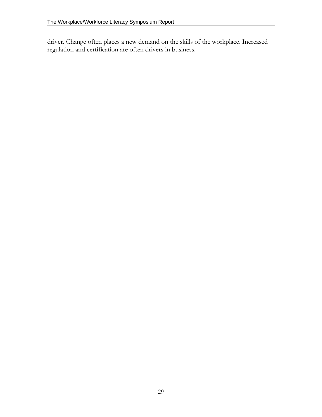driver. Change often places a new demand on the skills of the workplace. Increased regulation and certification are often drivers in business.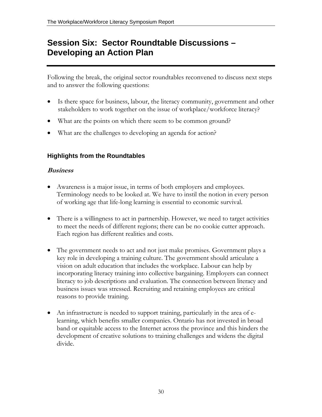### <span id="page-29-0"></span>**Session Six: Sector Roundtable Discussions – Developing an Action Plan**

Following the break, the original sector roundtables reconvened to discuss next steps and to answer the following questions:

- Is there space for business, labour, the literacy community, government and other stakeholders to work together on the issue of workplace/workforce literacy?
- What are the points on which there seem to be common ground?
- What are the challenges to developing an agenda for action?

### **Highlights from the Roundtables**

### **Business**

- Awareness is a major issue, in terms of both employers and employees. Terminology needs to be looked at. We have to instil the notion in every person of working age that life-long learning is essential to economic survival.
- There is a willingness to act in partnership. However, we need to target activities to meet the needs of different regions; there can be no cookie cutter approach. Each region has different realities and costs.
- The government needs to act and not just make promises. Government plays a key role in developing a training culture. The government should articulate a vision on adult education that includes the workplace. Labour can help by incorporating literacy training into collective bargaining. Employers can connect literacy to job descriptions and evaluation. The connection between literacy and business issues was stressed. Recruiting and retaining employees are critical reasons to provide training.
- An infrastructure is needed to support training, particularly in the area of elearning, which benefits smaller companies. Ontario has not invested in broad band or equitable access to the Internet across the province and this hinders the development of creative solutions to training challenges and widens the digital divide.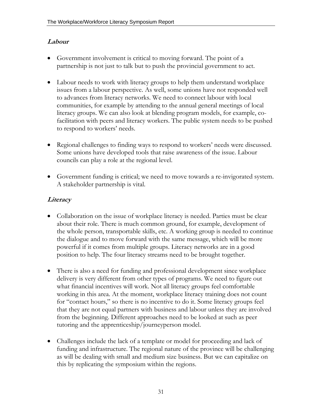### **Labour**

- Government involvement is critical to moving forward. The point of a partnership is not just to talk but to push the provincial government to act.
- Labour needs to work with literacy groups to help them understand workplace issues from a labour perspective. As well, some unions have not responded well to advances from literacy networks. We need to connect labour with local communities, for example by attending to the annual general meetings of local literacy groups. We can also look at blending program models, for example, cofacilitation with peers and literacy workers. The public system needs to be pushed to respond to workers' needs.
- Regional challenges to finding ways to respond to workers' needs were discussed. Some unions have developed tools that raise awareness of the issue. Labour councils can play a role at the regional level.
- Government funding is critical; we need to move towards a re-invigorated system. A stakeholder partnership is vital.

### **Literacy**

- Collaboration on the issue of workplace literacy is needed. Parties must be clear about their role. There is much common ground, for example, development of the whole person, transportable skills, etc. A working group is needed to continue the dialogue and to move forward with the same message, which will be more powerful if it comes from multiple groups. Literacy networks are in a good position to help. The four literacy streams need to be brought together.
- There is also a need for funding and professional development since workplace delivery is very different from other types of programs. We need to figure out what financial incentives will work. Not all literacy groups feel comfortable working in this area. At the moment, workplace literacy training does not count for "contact hours," so there is no incentive to do it. Some literacy groups feel that they are not equal partners with business and labour unless they are involved from the beginning. Different approaches need to be looked at such as peer tutoring and the apprenticeship/journeyperson model.
- Challenges include the lack of a template or model for proceeding and lack of funding and infrastructure. The regional nature of the province will be challenging as will be dealing with small and medium size business. But we can capitalize on this by replicating the symposium within the regions.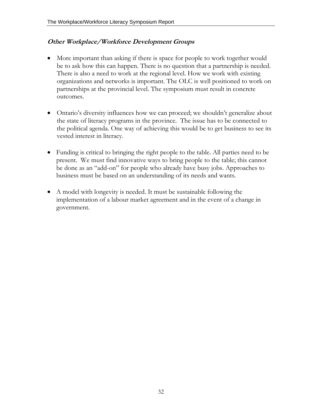### **Other Workplace/Workforce Development Groups**

- More important than asking if there is space for people to work together would be to ask how this can happen. There is no question that a partnership is needed. There is also a need to work at the regional level. How we work with existing organizations and networks is important. The OLC is well positioned to work on partnerships at the provincial level. The symposium must result in concrete outcomes.
- Ontario's diversity influences how we can proceed; we shouldn't generalize about the state of literacy programs in the province. The issue has to be connected to the political agenda. One way of achieving this would be to get business to see its vested interest in literacy.
- Funding is critical to bringing the right people to the table. All parties need to be present. We must find innovative ways to bring people to the table; this cannot be done as an "add-on" for people who already have busy jobs. Approaches to business must be based on an understanding of its needs and wants.
- A model with longevity is needed. It must be sustainable following the implementation of a labour market agreement and in the event of a change in government.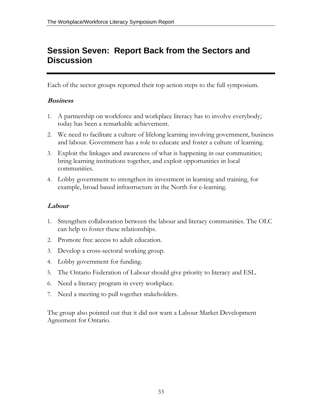### <span id="page-32-0"></span>**Session Seven: Report Back from the Sectors and Discussion**

Each of the sector groups reported their top action steps to the full symposium.

### **Business**

- 1. A partnership on workforce and workplace literacy has to involve everybody; today has been a remarkable achievement.
- 2. We need to facilitate a culture of lifelong learning involving government, business and labour. Government has a role to educate and foster a culture of learning.
- 3. Exploit the linkages and awareness of what is happening in our communities; bring learning institutions together, and exploit opportunities in local communities.
- 4. Lobby government to strengthen its investment in learning and training, for example, broad based infrastructure in the North for e-learning.

### **Labour**

- 1. Strengthen collaboration between the labour and literacy communities. The OLC can help to foster these relationships.
- 2. Promote free access to adult education.
- 3. Develop a cross-sectoral working group.
- 4. Lobby government for funding.
- 5. The Ontario Federation of Labour should give priority to literacy and ESL.
- 6. Need a literacy program in every workplace.
- 7. Need a meeting to pull together stakeholders.

The group also pointed out that it did not want a Labour Market Development Agreement for Ontario.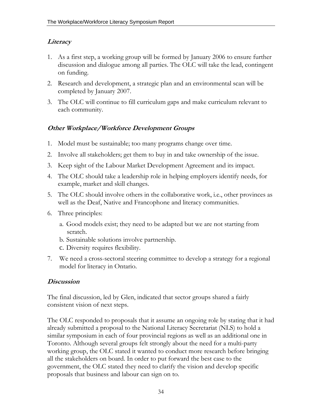### **Literacy**

- 1. As a first step, a working group will be formed by January 2006 to ensure further discussion and dialogue among all parties. The OLC will take the lead, contingent on funding.
- 2. Research and development, a strategic plan and an environmental scan will be completed by January 2007.
- 3. The OLC will continue to fill curriculum gaps and make curriculum relevant to each community.

### **Other Workplace/Workforce Development Groups**

- 1. Model must be sustainable; too many programs change over time.
- 2. Involve all stakeholders; get them to buy in and take ownership of the issue.
- 3. Keep sight of the Labour Market Development Agreement and its impact.
- 4. The OLC should take a leadership role in helping employers identify needs, for example, market and skill changes.
- 5. The OLC should involve others in the collaborative work, i.e., other provinces as well as the Deaf, Native and Francophone and literacy communities.
- 6. Three principles:
	- a. Good models exist; they need to be adapted but we are not starting from scratch.
	- b. Sustainable solutions involve partnership.
	- c. Diversity requires flexibility.
- 7. We need a cross-sectoral steering committee to develop a strategy for a regional model for literacy in Ontario.

### **Discussion**

The final discussion, led by Glen, indicated that sector groups shared a fairly consistent vision of next steps.

The OLC responded to proposals that it assume an ongoing role by stating that it had already submitted a proposal to the National Literacy Secretariat (NLS) to hold a similar symposium in each of four provincial regions as well as an additional one in Toronto. Although several groups felt strongly about the need for a multi-party working group, the OLC stated it wanted to conduct more research before bringing all the stakeholders on board. In order to put forward the best case to the government, the OLC stated they need to clarify the vision and develop specific proposals that business and labour can sign on to.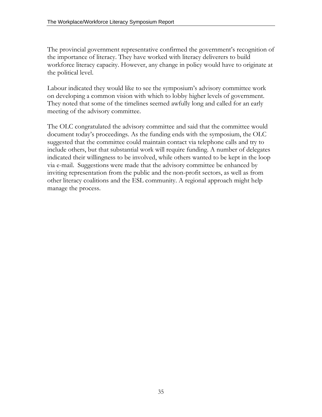The provincial government representative confirmed the government's recognition of the importance of literacy. They have worked with literacy deliverers to build workforce literacy capacity. However, any change in policy would have to originate at the political level.

Labour indicated they would like to see the symposium's advisory committee work on developing a common vision with which to lobby higher levels of government. They noted that some of the timelines seemed awfully long and called for an early meeting of the advisory committee.

The OLC congratulated the advisory committee and said that the committee would document today's proceedings. As the funding ends with the symposium, the OLC suggested that the committee could maintain contact via telephone calls and try to include others, but that substantial work will require funding. A number of delegates indicated their willingness to be involved, while others wanted to be kept in the loop via e-mail. Suggestions were made that the advisory committee be enhanced by inviting representation from the public and the non-profit sectors, as well as from other literacy coalitions and the ESL community. A regional approach might help manage the process.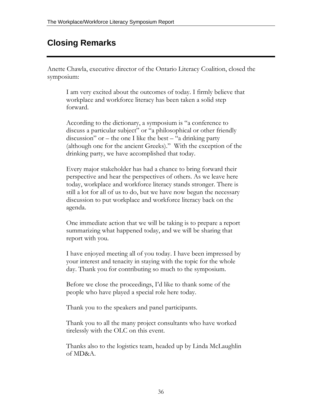### <span id="page-35-0"></span>**Closing Remarks**

Anette Chawla, executive director of the Ontario Literacy Coalition, closed the symposium:

I am very excited about the outcomes of today. I firmly believe that workplace and workforce literacy has been taken a solid step forward.

According to the dictionary, a symposium is "a conference to discuss a particular subject" or "a philosophical or other friendly discussion" or – the one I like the best – "a drinking party (although one for the ancient Greeks)." With the exception of the drinking party, we have accomplished that today.

Every major stakeholder has had a chance to bring forward their perspective and hear the perspectives of others. As we leave here today, workplace and workforce literacy stands stronger. There is still a lot for all of us to do, but we have now begun the necessary discussion to put workplace and workforce literacy back on the agenda.

One immediate action that we will be taking is to prepare a report summarizing what happened today, and we will be sharing that report with you.

I have enjoyed meeting all of you today. I have been impressed by your interest and tenacity in staying with the topic for the whole day. Thank you for contributing so much to the symposium.

Before we close the proceedings, I'd like to thank some of the people who have played a special role here today.

Thank you to the speakers and panel participants.

Thank you to all the many project consultants who have worked tirelessly with the OLC on this event.

Thanks also to the logistics team, headed up by Linda McLaughlin of MD&A.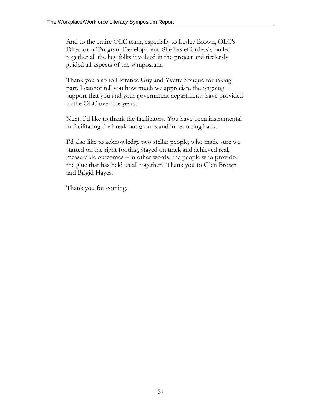And to the entire OLC team, especially to Lesley Brown, OLC's Director of Program Development. She has effortlessly pulled together all the key folks involved in the project and tirelessly guided all aspects of the symposium.

Thank you also to Florence Guy and Yvette Souque for taking part. I cannot tell you how much we appreciate the ongoing support that you and your government departments have provided to the OLC over the years.

Next, I'd like to thank the facilitators. You have been instrumental in facilitating the break out groups and in reporting back.

I'd also like to acknowledge two stellar people, who made sure we started on the right footing, stayed on track and achieved real, measurable outcomes – in other words, the people who provided the glue that has held us all together! Thank you to Glen Brown and Brigid Hayes.

Thank you for coming.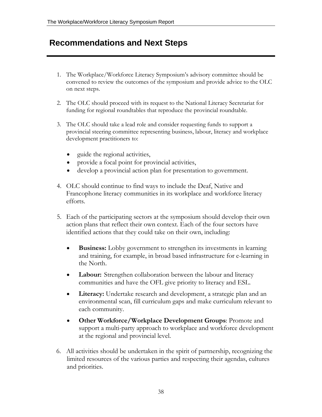### <span id="page-37-0"></span>**Recommendations and Next Steps**

- 1. The Workplace/Workforce Literacy Symposium's advisory committee should be convened to review the outcomes of the symposium and provide advice to the OLC on next steps.
- 2. The OLC should proceed with its request to the National Literacy Secretariat for funding for regional roundtables that reproduce the provincial roundtable.
- 3. The OLC should take a lead role and consider requesting funds to support a provincial steering committee representing business, labour, literacy and workplace development practitioners to:
	- guide the regional activities,
	- provide a focal point for provincial activities,
	- develop a provincial action plan for presentation to government.
- 4. OLC should continue to find ways to include the Deaf, Native and Francophone literacy communities in its workplace and workforce literacy efforts.
- 5. Each of the participating sectors at the symposium should develop their own action plans that reflect their own context. Each of the four sectors have identified actions that they could take on their own, including:
	- **Business:** Lobby government to strengthen its investments in learning and training, for example, in broad based infrastructure for e-learning in the North.
	- **Labour:** Strengthen collaboration between the labour and literacy communities and have the OFL give priority to literacy and ESL.
	- **Literacy:** Undertake research and development, a strategic plan and an environmental scan, fill curriculum gaps and make curriculum relevant to each community.
	- **Other Workforce/Workplace Development Groups**: Promote and support a multi-party approach to workplace and workforce development at the regional and provincial level.
- 6. All activities should be undertaken in the spirit of partnership, recognizing the limited resources of the various parties and respecting their agendas, cultures and priorities.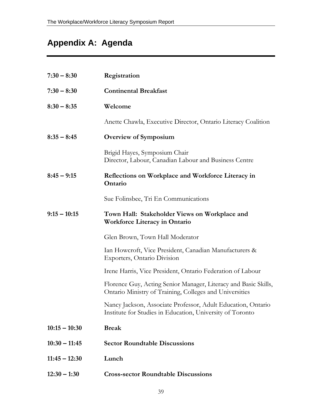## <span id="page-38-0"></span>**Appendix A: Agenda**

| $7:30 - 8:30$   | Registration                                                                                                               |
|-----------------|----------------------------------------------------------------------------------------------------------------------------|
| $7:30 - 8:30$   | <b>Continental Breakfast</b>                                                                                               |
| $8:30 - 8:35$   | Welcome                                                                                                                    |
|                 | Anette Chawla, Executive Director, Ontario Literacy Coalition                                                              |
| $8:35 - 8:45$   | <b>Overview of Symposium</b>                                                                                               |
|                 | Brigid Hayes, Symposium Chair<br>Director, Labour, Canadian Labour and Business Centre                                     |
| $8:45 - 9:15$   | Reflections on Workplace and Workforce Literacy in<br>Ontario                                                              |
|                 | Sue Folinsbee, Tri En Communications                                                                                       |
| $9:15 - 10:15$  | Town Hall: Stakeholder Views on Workplace and<br><b>Workforce Literacy in Ontario</b>                                      |
|                 | Glen Brown, Town Hall Moderator                                                                                            |
|                 | Ian Howcroft, Vice President, Canadian Manufacturers &<br>Exporters, Ontario Division                                      |
|                 | Irene Harris, Vice President, Ontario Federation of Labour                                                                 |
|                 | Florence Guy, Acting Senior Manager, Literacy and Basic Skills,<br>Ontario Ministry of Training, Colleges and Universities |
|                 | Nancy Jackson, Associate Professor, Adult Education, Ontario<br>Institute for Studies in Education, University of Toronto  |
| $10:15 - 10:30$ | <b>Break</b>                                                                                                               |
| $10:30 - 11:45$ | <b>Sector Roundtable Discussions</b>                                                                                       |
| $11:45 - 12:30$ | Lunch                                                                                                                      |
| $12:30 - 1:30$  | <b>Cross-sector Roundtable Discussions</b>                                                                                 |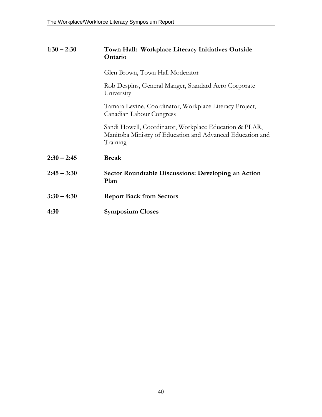| $1:30 - 2:30$ | Town Hall: Workplace Literacy Initiatives Outside |
|---------------|---------------------------------------------------|
|               | <b>Ontario</b>                                    |

Glen Brown, Town Hall Moderator

Rob Despins, General Manger, Standard Aero Corporate University

Tamara Levine, Coordinator, Workplace Literacy Project, Canadian Labour Congress

Sandi Howell, Coordinator, Workplace Education & PLAR, Manitoba Ministry of Education and Advanced Education and Training

- **2:30 2:45 Break**
- **2:45 3:30 Sector Roundtable Discussions: Developing an Action Plan**
- **3:30 4:30 Report Back from Sectors**
- **4:30 Symposium Closes**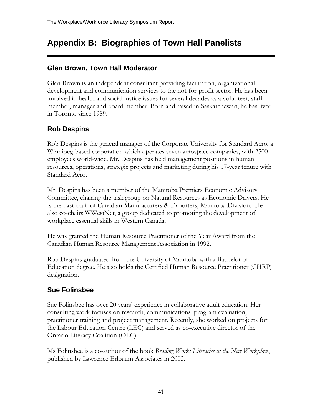### <span id="page-40-0"></span>**Appendix B: Biographies of Town Hall Panelists**

### **Glen Brown, Town Hall Moderator**

Glen Brown is an independent consultant providing facilitation, organizational development and communication services to the not-for-profit sector. He has been involved in health and social justice issues for several decades as a volunteer, staff member, manager and board member. Born and raised in Saskatchewan, he has lived in Toronto since 1989.

### **Rob Despins**

Rob Despins is the general manager of the Corporate University for Standard Aero, a Winnipeg-based corporation which operates seven aerospace companies, with 2500 employees world-wide. Mr. Despins has held management positions in human resources, operations, strategic projects and marketing during his 17-year tenure with Standard Aero.

Mr. Despins has been a member of the Manitoba Premiers Economic Advisory Committee, chairing the task group on Natural Resources as Economic Drivers. He is the past chair of Canadian Manufacturers & Exporters, Manitoba Division. He also co-chairs WWestNet, a group dedicated to promoting the development of workplace essential skills in Western Canada.

He was granted the Human Resource Practitioner of the Year Award from the Canadian Human Resource Management Association in 1992.

Rob Despins graduated from the University of Manitoba with a Bachelor of Education degree. He also holds the Certified Human Resource Practitioner (CHRP) designation.

### **Sue Folinsbee**

Sue Folinsbee has over 20 years' experience in collaborative adult education. Her consulting work focuses on research, communications, program evaluation, practitioner training and project management. Recently, she worked on projects for the Labour Education Centre (LEC) and served as co-executive director of the Ontario Literacy Coalition (OLC).

Ms Folinsbee is a co-author of the book *Reading Work: Literacies in the New Workplace*, published by Lawrence Erlbaum Associates in 2003.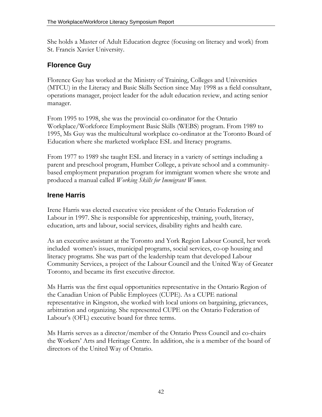She holds a Master of Adult Education degree (focusing on literacy and work) from St. Francis Xavier University.

### **Florence Guy**

Florence Guy has worked at the Ministry of Training, Colleges and Universities (MTCU) in the Literacy and Basic Skills Section since May 1998 as a field consultant, operations manager, project leader for the adult education review, and acting senior manager.

From 1995 to 1998, she was the provincial co-ordinator for the Ontario Workplace/Workforce Employment Basic Skills (WEBS) program. From 1989 to 1995, Ms Guy was the multicultural workplace co-ordinator at the Toronto Board of Education where she marketed workplace ESL and literacy programs.

From 1977 to 1989 she taught ESL and literacy in a variety of settings including a parent and preschool program, Humber College, a private school and a communitybased employment preparation program for immigrant women where she wrote and produced a manual called *Working Skills for Immigrant Women*.

### **Irene Harris**

Irene Harris was elected executive vice president of the Ontario Federation of Labour in 1997. She is responsible for apprenticeship, training, youth, literacy, education, arts and labour, social services, disability rights and health care.

As an executive assistant at the Toronto and York Region Labour Council, her work included women's issues, municipal programs, social services, co-op housing and literacy programs. She was part of the leadership team that developed Labour Community Services, a project of the Labour Council and the United Way of Greater Toronto, and became its first executive director.

Ms Harris was the first equal opportunities representative in the Ontario Region of the Canadian Union of Public Employees (CUPE). As a CUPE national representative in Kingston, she worked with local unions on bargaining, grievances, arbitration and organizing. She represented CUPE on the Ontario Federation of Labour's (OFL) executive board for three terms.

Ms Harris serves as a director/member of the Ontario Press Council and co-chairs the Workers' Arts and Heritage Centre. In addition, she is a member of the board of directors of the United Way of Ontario.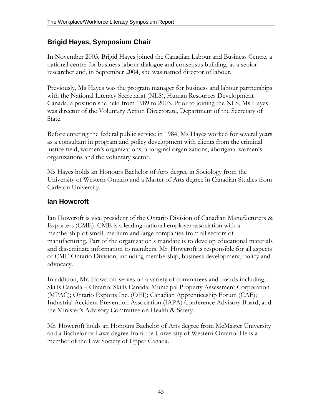### **Brigid Hayes, Symposium Chair**

In November 2003, Brigid Hayes joined the Canadian Labour and Business Centre, a national centre for business-labour dialogue and consensus building, as a senior researcher and, in September 2004, she was named director of labour.

Previously, Ms Hayes was the program manager for business and labour partnerships with the National Literacy Secretariat (NLS), Human Resources Development Canada, a position she held from 1989 to 2003. Prior to joining the NLS, Ms Hayes was director of the Voluntary Action Directorate, Department of the Secretary of State.

Before entering the federal public service in 1984, Ms Hayes worked for several years as a consultant in program and policy development with clients from the criminal justice field, women's organizations, aboriginal organizations, aboriginal women's organizations and the voluntary sector.

Ms Hayes holds an Honours Bachelor of Arts degree in Sociology from the University of Western Ontario and a Master of Arts degree in Canadian Studies from Carleton University.

### **Ian Howcroft**

Ian Howcroft is vice president of the Ontario Division of Canadian Manufacturers & Exporters (CME). CME is a leading national employer association with a membership of small, medium and large companies from all sectors of manufacturing. Part of the organization's mandate is to develop educational materials and disseminate information to members. Mr. Howcroft is responsible for all aspects of CME Ontario Division, including membership, business development, policy and advocacy.

In addition, Mr. Howcroft serves on a variety of committees and boards including: Skills Canada – Ontario; Skills Canada; Municipal Property Assessment Corporation (MPAC); Ontario Exports Inc. (OEI); Canadian Apprenticeship Forum (CAF); Industrial Accident Prevention Association (IAPA) Conference Advisory Board; and the Minister's Advisory Committee on Health & Safety.

Mr. Howcroft holds an Honours Bachelor of Arts degree from McMaster University and a Bachelor of Laws degree from the University of Western Ontario. He is a member of the Law Society of Upper Canada.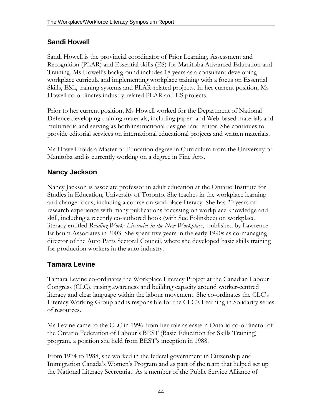### **Sandi Howell**

Sandi Howell is the provincial coordinator of Prior Learning, Assessment and Recognition (PLAR) and Essential skills (ES) for Manitoba Advanced Education and Training. Ms Howell's background includes 18 years as a consultant developing workplace curricula and implementing workplace training with a focus on Essential Skills, ESL, training systems and PLAR-related projects. In her current position, Ms Howell co-ordinates industry-related PLAR and ES projects.

Prior to her current position, Ms Howell worked for the Department of National Defence developing training materials, including paper- and Web-based materials and multimedia and serving as both instructional designer and editor. She continues to provide editorial services on international educational projects and written materials.

Ms Howell holds a Master of Education degree in Curriculum from the University of Manitoba and is currently working on a degree in Fine Arts.

### **Nancy Jackson**

Nancy Jackson is associate professor in adult education at the Ontario Institute for Studies in Education, University of Toronto. She teaches in the workplace learning and change focus, including a course on workplace literacy. She has 20 years of research experience with many publications focussing on workplace knowledge and skill, including a recently co-authored book (with Sue Folinsbee) on workplace literacy entitled *Reading Work: Literacies in the New Workplace*, published by Lawrence Erlbaum Associates in 2003. She spent five years in the early 1990s as co-managing director of the Auto Parts Sectoral Council, where she developed basic skills training for production workers in the auto industry.

### **Tamara Levine**

Tamara Levine co-ordinates the Workplace Literacy Project at the Canadian Labour Congress (CLC), raising awareness and building capacity around worker-centred literacy and clear language within the labour movement. She co-ordinates the CLC's Literacy Working Group and is responsible for the CLC's Learning in Solidarity series of resources.

Ms Levine came to the CLC in 1996 from her role as eastern Ontario co-ordinator of the Ontario Federation of Labour's BEST (Basic Education for Skills Training) program, a position she held from BEST's inception in 1988.

From 1974 to 1988, she worked in the federal government in Citizenship and Immigration Canada's Women's Program and as part of the team that helped set up the National Literacy Secretariat. As a member of the Public Service Alliance of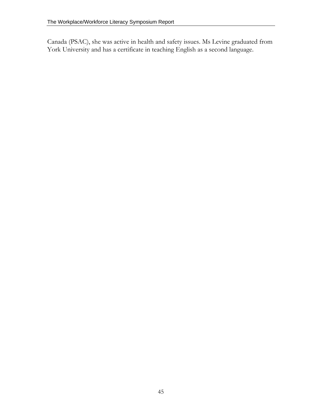Canada (PSAC), she was active in health and safety issues. Ms Levine graduated from York University and has a certificate in teaching English as a second language.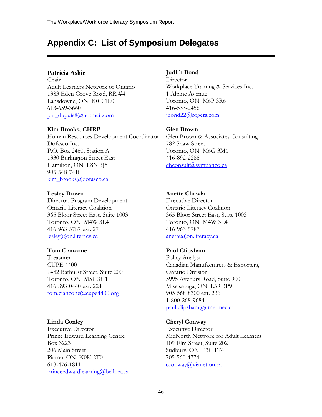### <span id="page-45-0"></span>**Appendix C: List of Symposium Delegates**

#### **Patricia Ashie**

Chair Adult Learners Network of Ontario 1383 Eden Grove Road, RR #4 Lansdowne, ON K0E 1L0 613-659-3660 pat\_dupuis8@hotmail.com

#### **Kim Brooks, CHRP**

Human Resources Development Coordinator Dofasco Inc. P.O. Box 2460, Station A 1330 Burlington Street East Hamilton, ON L8N 3J5 905-548-7418 kim\_brooks@dofasco.ca

#### **Lesley Brown**

Director, Program Development Ontario Literacy Coalition 365 Bloor Street East, Suite 1003 Toronto, ON M4W 3L4 416-963-5787 ext. 27 lesley@on.literacy.ca

#### **Tom Ciancone**

Treasurer CUPE 4400 1482 Bathurst Street, Suite 200 Toronto, ON M5P 3H1 416-393-0440 ext. 224 tom.ciancone@cupe4400.org

#### **Linda Conley**

Executive Director Prince Edward Learning Centre Box 3223 206 Main Street Picton, ON K0K 2T0 613-476-1811 princeedwardlearning@bellnet.ca

#### **Judith Bond**

Director Workplace Training & Services Inc. 1 Alpine Avenue Toronto, ON M6P 3R6 416-533-2456 jbond22@rogers.com

#### **Glen Brown**

Glen Brown & Associates Consulting 782 Shaw Street Toronto, ON M6G 3M1 416-892-2286 gbconsult@sympatico.ca

#### **Anette Chawla**

Executive Director Ontario Literacy Coalition 365 Bloor Street East, Suite 1003 Toronto, ON M4W 3L4 416-963-5787 anette@on.literacy.ca

#### **Paul Clipsham**

Policy Analyst Canadian Manufacturers & Exporters, Ontario Division 5995 Avebury Road, Suite 900 Mississauga, ON L5R 3P9 905-568-8300 ext. 236 1-800-268-9684 paul.clipsham@cme-mec.ca

#### **Cheryl Conway**

Executive Director MidNorth Network for Adult Learners 109 Elm Street, Suite 202 Sudbury, ON P3C 1T4 705-560-4774 cconway@vianet.on.ca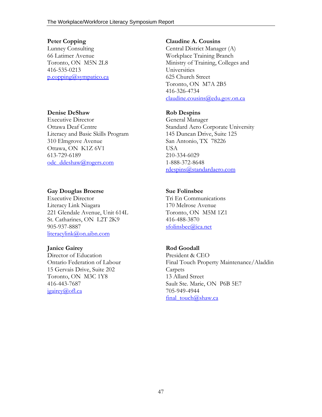#### **Peter Copping**

Lunney Consulting 66 Latimer Avenue Toronto, ON M5N 2L8 416-535-0213 p.copping@sympatico.ca

#### **Denise DeShaw**

Executive Director Ottawa Deaf Centre Literacy and Basic Skills Program 310 Elmgrove Avenue Ottawa, ON K1Z 6V1 613-729-6189 odc\_ddeshaw@rogers.com

#### **Gay Douglas Broerse**

Executive Director Literacy Link Niagara 221 Glendale Avenue, Unit 614L St. Catharines, ON L2T 2K9 905-937-8887 literacylink@on.aibn.com

#### **Janice Gairey**

Director of Education Ontario Federation of Labour 15 Gervais Drive, Suite 202 Toronto, ON M3C 1Y8 416-443-7687 jgairey@ofl.ca

#### **Claudine A. Cousins**

Central District Manager (A) Workplace Training Branch Ministry of Training, Colleges and Universities 625 Church Street Toronto, ON M7A 2B5 416-326-4734 claudine.cousins@edu.gov.on.ca

#### **Rob Despins**

General Manager Standard Aero Corporate University 145 Duncan Drive, Suite 125 San Antonio, TX 78226 USA 210-334-6029 1-888-372-8648 rdespins@standardaero.com

#### **Sue Folinsbee**

Tri En Communications 170 Melrose Avenue Toronto, ON M5M 1Z1 416-488-3870 sfolinsbee@ica.net

### **Rod Goodall**

President & CEO Final Touch Property Maintenance/Aladdin Carpets 13 Allard Street Sault Ste. Marie, ON P6B 5E7 705-949-4944 final\_touch@shaw.ca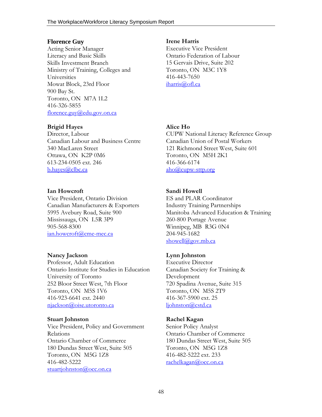#### **Florence Guy**

Acting Senior Manager Literacy and Basic Skills Skills Investment Branch Ministry of Training, Colleges and Universities Mowat Block, 23rd Floor 900 Bay St. Toronto, ON M7A 1L2 416-326-5855 florence.guy@edu.gov.on.ca

#### **Brigid Hayes**

Director, Labour Canadian Labour and Business Centre 340 MacLaren Street Ottawa, ON K2P 0M6 613-234-0505 ext. 246 b.hayes@clbc.ca

#### **Ian Howcroft**

Vice President, Ontario Division Canadian Manufacturers & Exporters 5995 Avebury Road, Suite 900 Mississauga, ON L5R 3P9 905-568-8300 ian.howcroft@cme-mec.ca

#### **Nancy Jackson**

Professor, Adult Education Ontario Institute for Studies in Education University of Toronto 252 Bloor Street West, 7th Floor Toronto, ON M5S 1V6 416-923-6641 ext. 2440 njackson@oise.utoronto.ca

#### **Stuart Johnston**

Vice President, Policy and Government Relations Ontario Chamber of Commerce 180 Dundas Street West, Suite 505 Toronto, ON M5G 1Z8 416-482-5222 stuartjohnston@occ.on.ca

#### **Irene Harris**

Executive Vice President Ontario Federation of Labour 15 Gervais Drive, Suite 202 Toronto, ON M3C 1Y8 416-443-7650 iharris@ofl.ca

#### **Alice Ho**

CUPW National Literacy Reference Group Canadian Union of Postal Workers 121 Richmond Street West, Suite 601 Toronto, ON M5H 2K1 416-366-6174 aho@cupw-sttp.org

#### **Sandi Howell**

ES and PLAR Coordinator Industry Training Partnerships Manitoba Advanced Education & Training 260-800 Portage Avenue Winnipeg, MB R3G 0N4 204-945-1682 showell@gov.mb.ca

#### **Lynn Johnston**

Executive Director Canadian Society for Training & Development 720 Spadina Avenue, Suite 315 Toronto, ON M5S 2T9 416-367-5900 ext. 25 ljohnston@cstd.ca

#### **Rachel Kagan**

Senior Policy Analyst Ontario Chamber of Commerce 180 Dundas Street West, Suite 505 Toronto, ON M5G 1Z8 416-482-5222 ext. 233 rachelkagan@occ.on.ca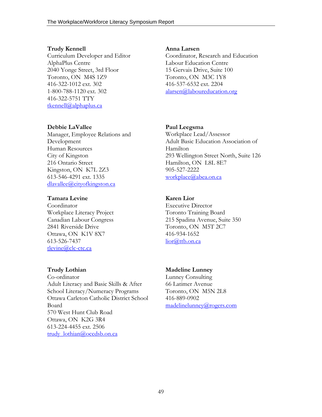#### **Trudy Kennell**

**Debbie LaVallee** 

Kingston, ON K7L 2Z3 613-546-4291 ext. 1335 dlavallee@cityofkingston.ca

Workplace Literacy Project Canadian Labour Congress 2841 Riverside Drive Ottawa, ON K1V 8X7

Development Human Resources City of Kingston 216 Ontario Street

**Tamara Levine**  Coordinator

613-526-7437 tlevine@clc-ctc.ca

**Trudy Lothian** 

Curriculum Developer and Editor AlphaPlus Centre 2040 Yonge Street, 3rd Floor Toronto, ON M4S 1Z9 416-322-1012 ext. 302 1-800-788-1120 ext. 302 416-322-5751 TTY tkennell@alphaplus.ca

Manager, Employee Relations and

#### **Anna Larsen**

Coordinator, Research and Education Labour Education Centre 15 Gervais Drive, Suite 100 Toronto, ON M3C 1Y8 416-537-6532 ext. 2204 alarsen@laboureducation.org

#### **Paul Leegsma**

Workplace Lead/Assessor Adult Basic Education Association of Hamilton 293 Wellington Street North, Suite 126 Hamilton, ON L8L 8E7 905-527-2222 workplace@abea.on.ca

#### **Karen Lior**

Executive Director Toronto Training Board 215 Spadina Avenue, Suite 350 Toronto, ON M5T 2C7 416-934-1652 lior@ttb.on.ca

Co-ordinator Adult Literacy and Basic Skills & After School Literacy/Numeracy Programs Ottawa Carleton Catholic District School Board 570 West Hunt Club Road Ottawa, ON K2G 3R4 613-224-4455 ext. 2506 trudy\_lothian@occdsb.on.ca

#### **Madeline Lunney**

Lunney Consulting 66 Latimer Avenue Toronto, ON M5N 2L8 416-889-0902 madelinelunney@rogers.com

49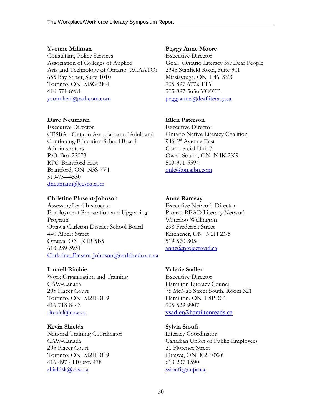#### **Yvonne Millman**

Consultant, Policy Services Association of Colleges of Applied Arts and Technology of Ontario (ACAATO) 655 Bay Street, Suite 1010 Toronto, ON M5G 2K4 416-571-8981 yvonnken@pathcom.com

#### **Dave Neumann**

Executive Director CESBA - Ontario Association of Adult and Continuing Education School Board Administrators P.O. Box 22073 RPO Brantford East Brantford, ON N3S 7V1 519-754-4550 dneumann@cesba.com

#### **Christine Pinsent-Johnson**

Assessor/Lead Instructor Employment Preparation and Upgrading Program Ottawa-Carleton District School Board 440 Albert Street Ottawa, ON K1R 5B5 613-239-5951 Christine\_Pinsent-Johnson@ocdsb.edu.on.ca

#### **Laurell Ritchie**

Work Organization and Training CAW-Canada 205 Placer Court Toronto, ON M2H 3H9 416-718-8443 ritchiel@caw.ca

#### **Kevin Shields**

National Training Coordinator CAW-Canada 205 Placer Court Toronto, ON M2H 3H9 416-497-4110 ext. 478 shieldsk@caw.ca

#### **Peggy Anne Moore**

Executive Director Goal: Ontario Literacy for Deaf People 2345 Stanfield Road, Suite 301 Mississauga, ON L4Y 3Y3 905-897-6772 TTY 905-897-5656 VOICE peggyanne@deafliteracy.ca

#### **Ellen Paterson**

Executive Director Ontario Native Literacy Coalition 946 3rd Avenue East Commercial Unit 3 Owen Sound, ON N4K 2K9 519-371-5594 onlc@on.aibn.com

#### **Anne Ramsay**

Executive Network Director Project READ Literacy Network Waterloo-Wellington 298 Frederick Street Kitchener, ON N2H 2N5 519-570-3054 anne@projectread.ca

#### **Valerie Sadler**

Executive Director Hamilton Literacy Council 75 McNab Street South, Room 321 Hamilton, ON L8P 3C1 905-529-9907 vsadler@hamiltonreads.ca

#### **Sylvia Sioufi**

Literacy Coordinator Canadian Union of Public Employees 21 Florence Street Ottawa, ON K2P 0W6 613-237-1590 ssioufi@cupe.ca